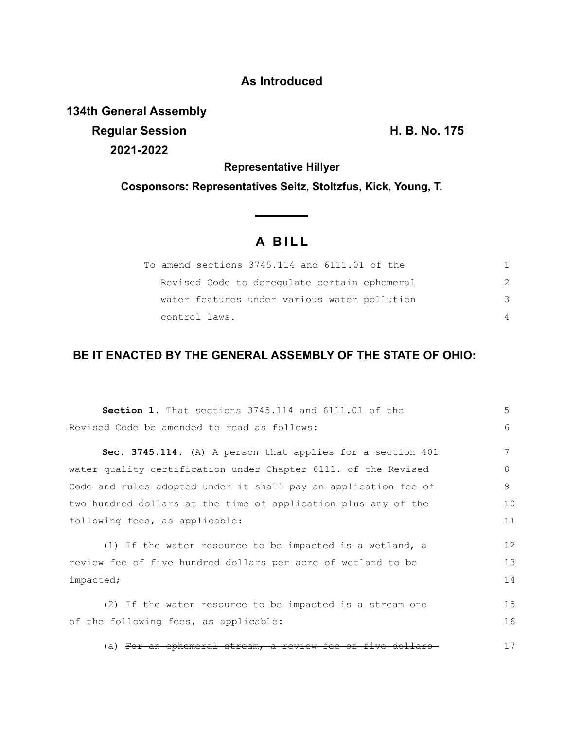## **As Introduced**

**134th General Assembly Regular Session H. B. No. 175 2021-2022**

**Representative Hillyer**

**Cosponsors: Representatives Seitz, Stoltzfus, Kick, Young, T.**

# **A B I L L**

**Service Contractor** 

| To amend sections 3745.114 and 6111.01 of the |          |
|-----------------------------------------------|----------|
| Revised Code to deregulate certain ephemeral  |          |
| water features under various water pollution  | -२       |
| control laws.                                 | $\Delta$ |

# **BE IT ENACTED BY THE GENERAL ASSEMBLY OF THE STATE OF OHIO:**

| <b>Section 1.</b> That sections 3745.114 and 6111.01 of the          | 5  |
|----------------------------------------------------------------------|----|
| Revised Code be amended to read as follows:                          | 6  |
| Sec. 3745.114. (A) A person that applies for a section 401           | 7  |
| water quality certification under Chapter 6111. of the Revised       | 8  |
| Code and rules adopted under it shall pay an application fee of      | 9  |
| two hundred dollars at the time of application plus any of the       | 10 |
| following fees, as applicable:                                       | 11 |
| (1) If the water resource to be impacted is a wetland, a             | 12 |
| review fee of five hundred dollars per acre of wetland to be         | 13 |
| impacted;                                                            | 14 |
| (2) If the water resource to be impacted is a stream one             | 15 |
| of the following fees, as applicable:                                | 16 |
| (a) <del>For an ephemeral stream, a review fee of five dollars</del> | 17 |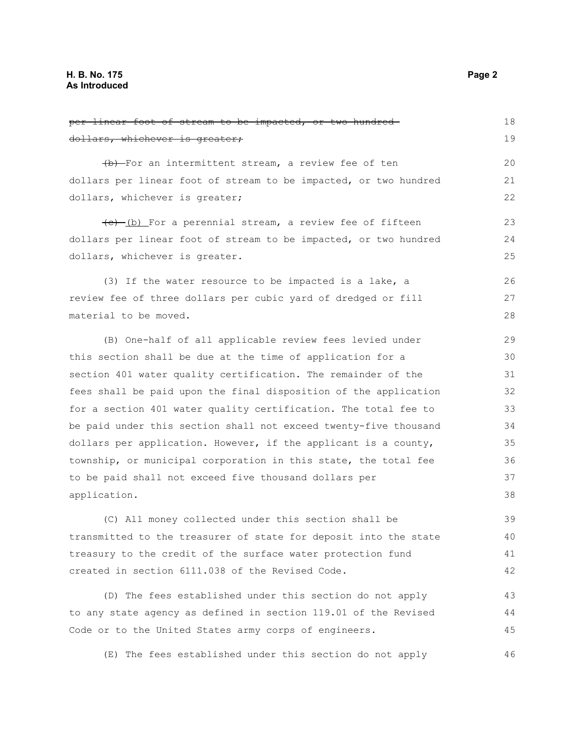| <del>per linear foot of stream to be impacted, or two hundred-</del> | 18 |
|----------------------------------------------------------------------|----|
| <del>dollars, whichever is greater;</del>                            | 19 |
| (b) For an intermittent stream, a review fee of ten                  | 20 |
| dollars per linear foot of stream to be impacted, or two hundred     | 21 |
| dollars, whichever is greater;                                       | 22 |
| (e) (b) For a perennial stream, a review fee of fifteen              | 23 |
| dollars per linear foot of stream to be impacted, or two hundred     | 24 |
| dollars, whichever is greater.                                       | 25 |
| (3) If the water resource to be impacted is a lake, a                | 26 |
| review fee of three dollars per cubic yard of dredged or fill        | 27 |
| material to be moved.                                                | 28 |
| (B) One-half of all applicable review fees levied under              | 29 |
| this section shall be due at the time of application for a           | 30 |
| section 401 water quality certification. The remainder of the        | 31 |
| fees shall be paid upon the final disposition of the application     | 32 |
| for a section 401 water quality certification. The total fee to      | 33 |
| be paid under this section shall not exceed twenty-five thousand     | 34 |
| dollars per application. However, if the applicant is a county,      | 35 |
| township, or municipal corporation in this state, the total fee      | 36 |
| to be paid shall not exceed five thousand dollars per                | 37 |
| application.                                                         | 38 |
| (C) All money collected under this section shall be                  | 39 |
| transmitted to the treasurer of state for deposit into the state     | 40 |
| treasury to the credit of the surface water protection fund          | 41 |
| created in section 6111.038 of the Revised Code.                     | 42 |
| (D) The fees established under this section do not apply             | 43 |
| to any state agency as defined in section 119.01 of the Revised      | 44 |
| Code or to the United States army corps of engineers.                | 45 |

(E) The fees established under this section do not apply 46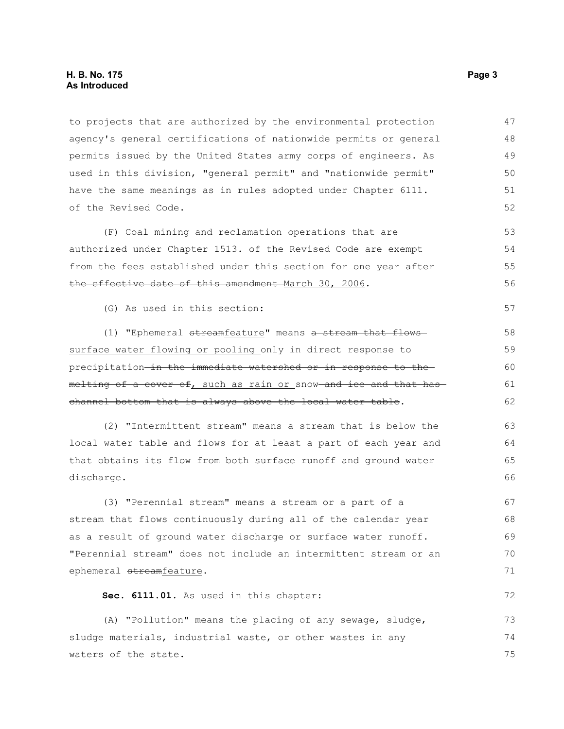#### **H. B. No. 175** Page 3 **As Introduced**

to projects that are authorized by the environmental protection agency's general certifications of nationwide permits or general permits issued by the United States army corps of engineers. As used in this division, "general permit" and "nationwide permit" have the same meanings as in rules adopted under Chapter 6111. of the Revised Code. 47 48 49 50 51 52

(F) Coal mining and reclamation operations that are authorized under Chapter 1513. of the Revised Code are exempt from the fees established under this section for one year after the effective date of this amendment March 30, 2006. 53 54 55 56

(G) As used in this section:

(1) "Ephemeral streamfeature" means a stream that flows surface water flowing or pooling only in direct response to precipitation in the immediate watershed or in response to the melting of a cover of, such as rain or snow and ice and that has channel bottom that is always above the local water table.

(2) "Intermittent stream" means a stream that is below the local water table and flows for at least a part of each year and that obtains its flow from both surface runoff and ground water discharge. 63 64 65 66

(3) "Perennial stream" means a stream or a part of a stream that flows continuously during all of the calendar year as a result of ground water discharge or surface water runoff. "Perennial stream" does not include an intermittent stream or an ephemeral streamfeature. 67 68 69 70 71

**Sec. 6111.01.** As used in this chapter:

(A) "Pollution" means the placing of any sewage, sludge, sludge materials, industrial waste, or other wastes in any waters of the state. 73 74 75

57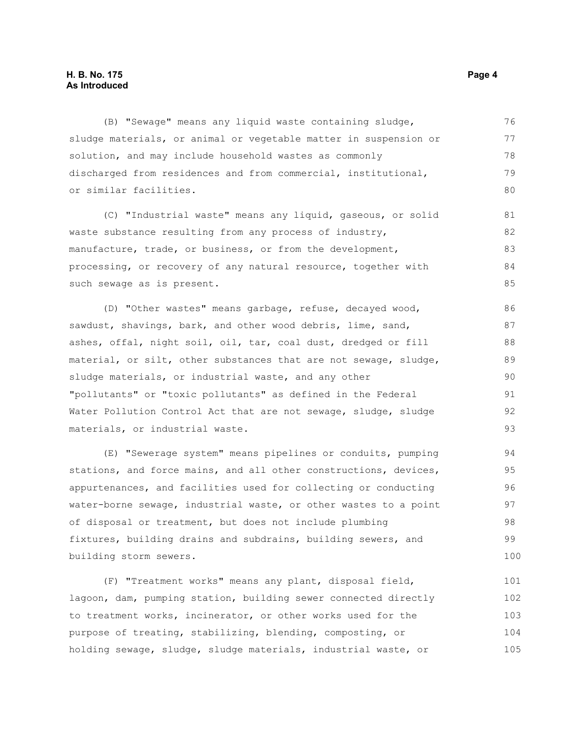## **H. B. No. 175** Page 4 **As Introduced**

(B) "Sewage" means any liquid waste containing sludge, sludge materials, or animal or vegetable matter in suspension or solution, and may include household wastes as commonly discharged from residences and from commercial, institutional, or similar facilities. 76 77 78 79 80

(C) "Industrial waste" means any liquid, gaseous, or solid waste substance resulting from any process of industry, manufacture, trade, or business, or from the development, processing, or recovery of any natural resource, together with such sewage as is present. 81 82 83 84 85

(D) "Other wastes" means garbage, refuse, decayed wood, sawdust, shavings, bark, and other wood debris, lime, sand, ashes, offal, night soil, oil, tar, coal dust, dredged or fill material, or silt, other substances that are not sewage, sludge, sludge materials, or industrial waste, and any other "pollutants" or "toxic pollutants" as defined in the Federal Water Pollution Control Act that are not sewage, sludge, sludge materials, or industrial waste. 86 87 88 89 90 91 92 93

(E) "Sewerage system" means pipelines or conduits, pumping stations, and force mains, and all other constructions, devices, appurtenances, and facilities used for collecting or conducting water-borne sewage, industrial waste, or other wastes to a point of disposal or treatment, but does not include plumbing fixtures, building drains and subdrains, building sewers, and building storm sewers.

(F) "Treatment works" means any plant, disposal field, lagoon, dam, pumping station, building sewer connected directly to treatment works, incinerator, or other works used for the purpose of treating, stabilizing, blending, composting, or holding sewage, sludge, sludge materials, industrial waste, or 101 102 103 104 105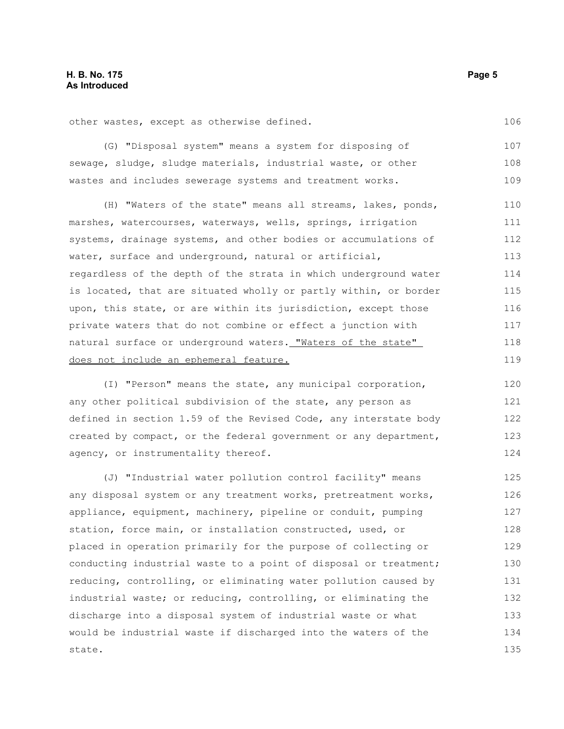other wastes, except as otherwise defined.

(G) "Disposal system" means a system for disposing of sewage, sludge, sludge materials, industrial waste, or other wastes and includes sewerage systems and treatment works. 107 108 109

(H) "Waters of the state" means all streams, lakes, ponds, marshes, watercourses, waterways, wells, springs, irrigation systems, drainage systems, and other bodies or accumulations of water, surface and underground, natural or artificial, regardless of the depth of the strata in which underground water is located, that are situated wholly or partly within, or border upon, this state, or are within its jurisdiction, except those private waters that do not combine or effect a junction with natural surface or underground waters. "Waters of the state" does not include an ephemeral feature. 110 111 112 113 114 115 116 117 118 119

(I) "Person" means the state, any municipal corporation, any other political subdivision of the state, any person as defined in section 1.59 of the Revised Code, any interstate body created by compact, or the federal government or any department, agency, or instrumentality thereof.

(J) "Industrial water pollution control facility" means any disposal system or any treatment works, pretreatment works, appliance, equipment, machinery, pipeline or conduit, pumping station, force main, or installation constructed, used, or placed in operation primarily for the purpose of collecting or conducting industrial waste to a point of disposal or treatment; reducing, controlling, or eliminating water pollution caused by industrial waste; or reducing, controlling, or eliminating the discharge into a disposal system of industrial waste or what would be industrial waste if discharged into the waters of the state. 125 126 127 128 129 130 131 132 133 134 135

106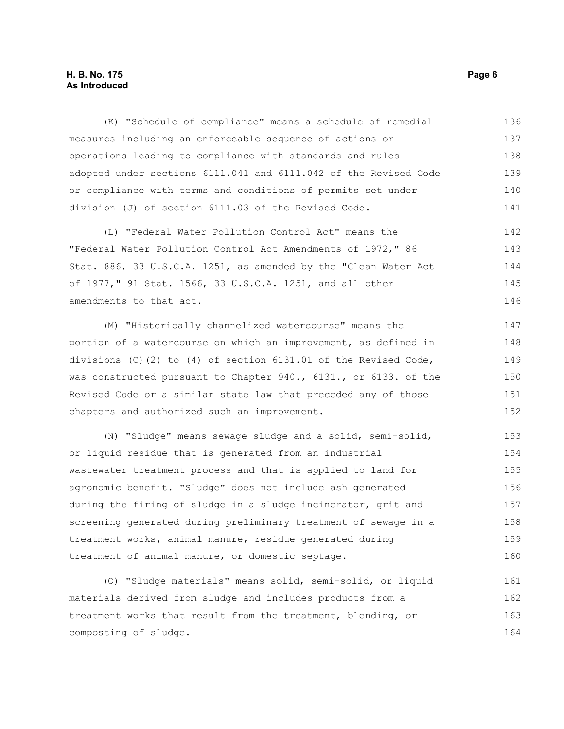## **H. B. No. 175** Page 6 **As Introduced**

(K) "Schedule of compliance" means a schedule of remedial measures including an enforceable sequence of actions or operations leading to compliance with standards and rules adopted under sections 6111.041 and 6111.042 of the Revised Code or compliance with terms and conditions of permits set under division (J) of section 6111.03 of the Revised Code. 136 137 138 139 140 141

(L) "Federal Water Pollution Control Act" means the "Federal Water Pollution Control Act Amendments of 1972," 86 Stat. 886, 33 U.S.C.A. 1251, as amended by the "Clean Water Act of 1977," 91 Stat. 1566, 33 U.S.C.A. 1251, and all other amendments to that act. 142 143 144 145 146

(M) "Historically channelized watercourse" means the portion of a watercourse on which an improvement, as defined in divisions (C)(2) to (4) of section 6131.01 of the Revised Code, was constructed pursuant to Chapter 940., 6131., or 6133. of the Revised Code or a similar state law that preceded any of those chapters and authorized such an improvement.

(N) "Sludge" means sewage sludge and a solid, semi-solid, or liquid residue that is generated from an industrial wastewater treatment process and that is applied to land for agronomic benefit. "Sludge" does not include ash generated during the firing of sludge in a sludge incinerator, grit and screening generated during preliminary treatment of sewage in a treatment works, animal manure, residue generated during treatment of animal manure, or domestic septage. 153 154 155 156 157 158 159 160

(O) "Sludge materials" means solid, semi-solid, or liquid materials derived from sludge and includes products from a treatment works that result from the treatment, blending, or composting of sludge. 161 162 163 164